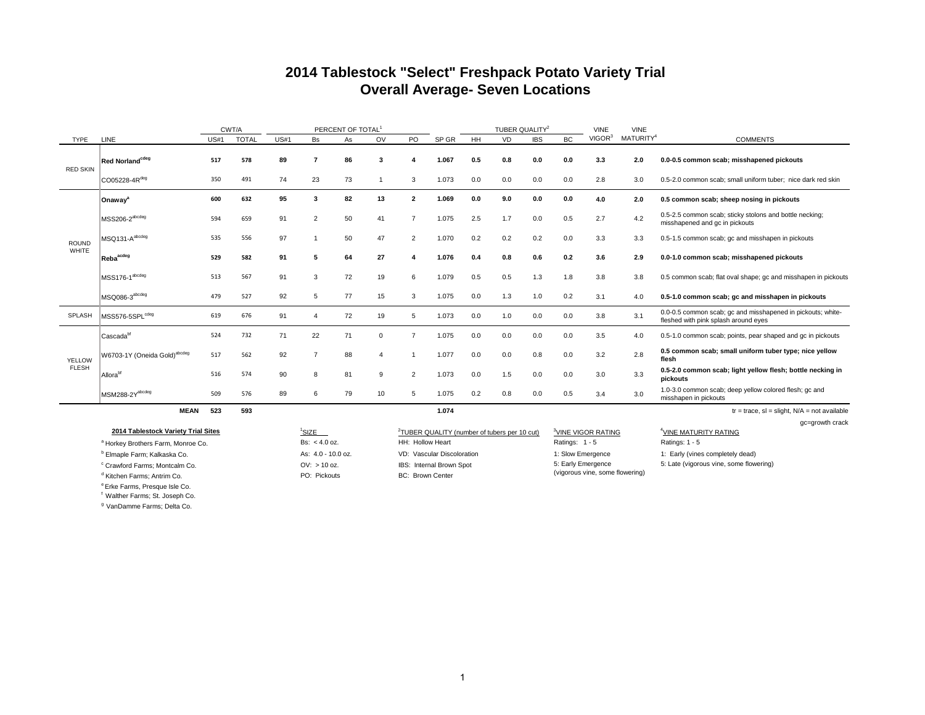#### **2014 Tablestock "Select" Freshpack Potato Variety Trial Overall Average- Seven Locations**

|                 |                                                                            |      | CWT/A        |      |                                       | PERCENT OF TOTAL <sup>1</sup> |                |                         |                                                          |     | TUBER QUALITY <sup>2</sup> |            |                    | <b>VINE</b>                     | <b>VINE</b>           |                                                                                                     |
|-----------------|----------------------------------------------------------------------------|------|--------------|------|---------------------------------------|-------------------------------|----------------|-------------------------|----------------------------------------------------------|-----|----------------------------|------------|--------------------|---------------------------------|-----------------------|-----------------------------------------------------------------------------------------------------|
| TYPE            | LINE                                                                       | US#1 | <b>TOTAL</b> | US#1 | <b>Bs</b>                             | As                            | OV             | PO                      | SP GR                                                    | HH  | VD                         | <b>IBS</b> | <b>BC</b>          | VIGOR <sup>3</sup>              | MATURITY <sup>4</sup> | <b>COMMENTS</b>                                                                                     |
| <b>RED SKIN</b> | Red Norland <sup>cdeg</sup>                                                | 517  | 578          | 89   | $\overline{7}$                        | 86                            | 3              | $\boldsymbol{A}$        | 1.067                                                    | 0.5 | 0.8                        | 0.0        | 0.0                | 3.3                             | 2.0                   | 0.0-0.5 common scab; misshapened pickouts                                                           |
|                 | CO05228-4Rdeg                                                              | 350  | 491          | 74   | 23                                    | 73                            |                | 3                       | 1.073                                                    | 0.0 | 0.0                        | 0.0        | 0.0                | 2.8                             | 3.0                   | 0.5-2.0 common scab; small uniform tuber; nice dark red skin                                        |
|                 | Onaway <sup>a</sup>                                                        | 600  | 632          | 95   | 3                                     | 82                            | 13             | $\overline{\mathbf{2}}$ | 1.069                                                    | 0.0 | 9.0                        | 0.0        | 0.0                | 4.0                             | 2.0                   | 0.5 common scab; sheep nosing in pickouts                                                           |
|                 | MSS206-2 <sup>abcdeg</sup>                                                 | 594  | 659          | 91   | $\overline{2}$                        | 50                            | 41             | $\overline{7}$          | 1.075                                                    | 2.5 | 1.7                        | 0.0        | 0.5                | 2.7                             | 4.2                   | 0.5-2.5 common scab; sticky stolons and bottle necking;<br>misshapened and gc in pickouts           |
| <b>ROUND</b>    | MSQ131-A <sup>abcdeg</sup>                                                 | 535  | 556          | 97   | $\overline{1}$                        | 50                            | 47             | $\overline{2}$          | 1.070                                                    | 0.2 | 0.2                        | 0.2        | 0.0                | 3.3                             | 3.3                   | 0.5-1.5 common scab; gc and misshapen in pickouts                                                   |
| <b>WHITE</b>    | Reba <sup>acdeg</sup>                                                      | 529  | 582          | 91   | 5                                     | 64                            | 27             | $\boldsymbol{A}$        | 1.076                                                    | 0.4 | 0.8                        | 0.6        | 0.2                | 3.6                             | 2.9                   | 0.0-1.0 common scab; misshapened pickouts                                                           |
|                 | MSS176-1 <sup>abcdeg</sup>                                                 | 513  | 567          | 91   | 3                                     | 72                            | 19             | 6                       | 1.079                                                    | 0.5 | 0.5                        | 1.3        | 1.8                | 3.8                             | 3.8                   | 0.5 common scab; flat oval shape; gc and misshapen in pickouts                                      |
|                 | MSQ086-3 <sup>abcdeg</sup>                                                 | 479  | 527          | 92   | 5                                     | 77                            | 15             | 3                       | 1.075                                                    | 0.0 | 1.3                        | 1.0        | 0.2                | 3.1                             | 4.0                   | 0.5-1.0 common scab; gc and misshapen in pickouts                                                   |
| SPLASH          | MSS576-5SPL <sup>cdeg</sup>                                                | 619  | 676          | 91   | $\overline{4}$                        | 72                            | 19             | 5                       | 1.073                                                    | 0.0 | 1.0                        | 0.0        | 0.0                | 3.8                             | 3.1                   | 0.0-0.5 common scab; gc and misshapened in pickouts; white-<br>fleshed with pink splash around eyes |
|                 | $ $ Cascada $^{\rm bf}$                                                    | 524  | 732          | 71   | 22                                    | 71                            | 0              | $\overline{7}$          | 1.075                                                    | 0.0 | 0.0                        | 0.0        | 0.0                | 3.5                             | 4.0                   | 0.5-1.0 common scab; points, pear shaped and gc in pickouts                                         |
| YELLOW          | W6703-1Y (Oneida Gold) <sup>abcdeg</sup>                                   | 517  | 562          | 92   | $\overline{7}$                        | 88                            | $\overline{4}$ |                         | 1.077                                                    | 0.0 | 0.0                        | 0.8        | 0.0                | 3.2                             | 2.8                   | 0.5 common scab; small uniform tuber type; nice yellow<br>flesh                                     |
| <b>FLESH</b>    | Allora <sup>bf</sup>                                                       | 516  | 574          | 90   | 8                                     | 81                            | 9              | $\overline{2}$          | 1.073                                                    | 0.0 | 1.5                        | 0.0        | 0.0                | 3.0                             | 3.3                   | 0.5-2.0 common scab; light yellow flesh; bottle necking in<br>pickouts                              |
|                 | MSM288-2Yabcdeg                                                            | 509  | 576          | 89   | 6                                     | 79                            | 10             | 5                       | 1.075                                                    | 0.2 | 0.8                        | 0.0        | 0.5                | 3.4                             | 3.0                   | 1.0-3.0 common scab; deep yellow colored flesh; gc and<br>misshapen in pickouts                     |
|                 | <b>MEAN</b>                                                                | 523  | 593          |      |                                       |                               |                |                         | 1.074                                                    |     |                            |            |                    |                                 |                       | $tr = trace$ , sl = slight, $N/A$ = not available                                                   |
|                 |                                                                            |      |              |      |                                       |                               |                |                         |                                                          |     |                            |            |                    |                                 |                       | gc=growth crack                                                                                     |
|                 | 2014 Tablestock Variety Trial Sites                                        |      |              |      | <sup>1</sup> SIZE                     |                               |                |                         | <sup>2</sup> TUBER QUALITY (number of tubers per 10 cut) |     |                            |            |                    | <sup>3</sup> VINE VIGOR RATING  |                       | <sup>4</sup> VINE MATURITY RATING                                                                   |
|                 | <sup>a</sup> Horkey Brothers Farm, Monroe Co.                              |      |              |      | Bs: $< 4.0$ oz.                       |                               |                | HH: Hollow Heart        |                                                          |     |                            |            | Ratings: 1 - 5     |                                 |                       | Ratings: $1 - 5$                                                                                    |
|                 | <sup>b</sup> Elmaple Farm; Kalkaska Co.                                    |      |              |      | As: 4.0 - 10.0 oz.                    |                               |                |                         | VD: Vascular Discoloration                               |     |                            |            | 1: Slow Emergence  |                                 |                       | 1: Early (vines completely dead)                                                                    |
|                 | <sup>c</sup> Crawford Farms; Montcalm Co.<br>$d$ Kitchen Forma: Antrim Co. |      |              |      | $OV: > 10$ oz.<br><b>DO: Pickoute</b> |                               |                | RC: Rrown Center        | IBS: Internal Brown Spot                                 |     |                            |            | 5: Early Emergence | (vigorous vine, some flowering) |                       | 5: Late (vigorous vine, some flowering)                                                             |

e Erke Farms, Presque Isle Co.

d Kitchen Farms; Antrim Co. **PO: Pickouts** PO: Pickouts BC: Brown Center

f Walther Farms; St. Joseph Co.

<sup>g</sup> VanDamme Farms; Delta Co.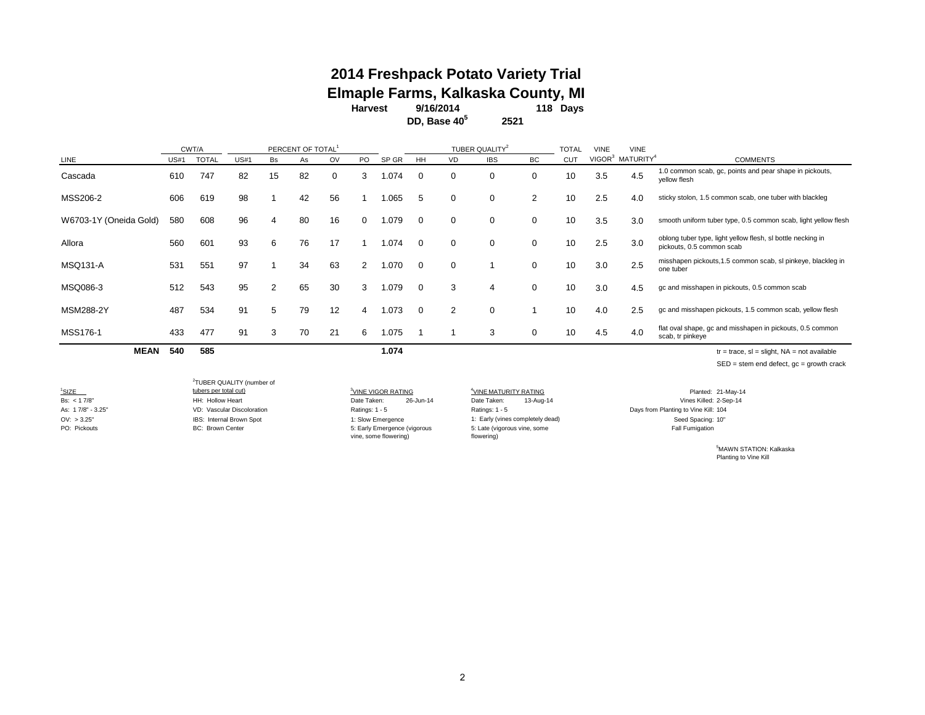#### **2014 Freshpack Potato Variety Trial Elmaple Farms, Kalkaska County, MI**

**Harvest 118 Days 9/16/2014**

**2521 DD, Base 405**

|                        |      | CWT/A        |             |                | PERCENT OF TOTAL |    |     |       |          |               | TUBER QUALITY <sup>2</sup> |           | TOTAL      | VINE | <b>VINE</b>                              |                                                                                          |
|------------------------|------|--------------|-------------|----------------|------------------|----|-----|-------|----------|---------------|----------------------------|-----------|------------|------|------------------------------------------|------------------------------------------------------------------------------------------|
| LINE                   | US#1 | <b>TOTAL</b> | <b>US#1</b> | Bs             | As               | OV | PO. | SP GR | HH       | VD            | <b>IBS</b>                 | <b>BC</b> | <b>CUT</b> |      | VIGOR <sup>3</sup> MATURITY <sup>4</sup> | <b>COMMENTS</b>                                                                          |
| Cascada                | 610  | 747          | 82          | 15             | 82               | 0  | 3   | .074  |          | $\Omega$      | $\Omega$                   | $\Omega$  | 10         | 3.5  | 4.5                                      | 1.0 common scab, gc, points and pear shape in pickouts,<br>yellow flesh                  |
| MSS206-2               | 606  | 619          | 98          |                | 42               | 56 |     | .065  | 5        | 0             | $\Omega$                   | 2         | 10         | 2.5  | 4.0                                      | sticky stolon, 1.5 common scab, one tuber with blackleg                                  |
| W6703-1Y (Oneida Gold) | 580  | 608          | 96          | 4              | 80               | 16 | 0   | .079  | ∩        | $\Omega$      | $\Omega$                   | $\Omega$  | 10         | 3.5  | 3.0                                      | smooth uniform tuber type, 0.5 common scab, light yellow flesh                           |
| Allora                 | 560  | 601          | 93          | 6              | 76               | 17 |     | .074  | $\Omega$ | $\mathbf 0$   | $\Omega$                   | 0         | 10         | 2.5  | 3.0                                      | oblong tuber type, light yellow flesh, sl bottle necking in<br>pickouts, 0.5 common scab |
| <b>MSQ131-A</b>        | 531  | 551          | 97          |                | 34               | 63 |     | .070  | $\Omega$ | 0             |                            | 0         | 10         | 3.0  | 2.5                                      | misshapen pickouts, 1.5 common scab, sl pinkeye, blackleg in<br>one tuber                |
| MSQ086-3               | 512  | 543          | 95          | $\overline{2}$ | 65               | 30 | 3   | .079  | $\Omega$ | 3             | 4                          | $\Omega$  | 10         | 3.0  | 4.5                                      | gc and misshapen in pickouts, 0.5 common scab                                            |
| <b>MSM288-2Y</b>       | 487  | 534          | 91          | 5              | 79               | 12 | 4   | 1.073 | $\Omega$ | $\mathcal{P}$ | $\Omega$                   |           | 10         | 4.0  | 2.5                                      | gc and misshapen pickouts, 1.5 common scab, yellow flesh                                 |
| MSS176-1               | 433  | 477          | 91          | 3              | 70               | 21 | 6   | .075  |          |               | 3                          | 0         | 10         | 4.5  | 4.0                                      | flat oval shape, gc and misshapen in pickouts, 0.5 common<br>scab, tr pinkeye            |
| <b>MEAN</b>            | 540  | 585          |             |                |                  |    |     | 1.074 |          |               |                            |           |            |      |                                          | $tr = trace$ , $sl = slight$ , $NA = not available$                                      |

SED = stem end defect, gc = growth crack

<sup>1</sup>SIZE

SIZE 3. SIZE 3. SIZE 3. SIZE 3. SIZE 3. SIZE 3. SIZE 3. SIZE 3. SIZE 3. SIZE 3. SIZE 3. SIZE 3. SIZE 3. SIZE 3. SIZE 3. SIZE 3. SIZE 3. SIZE 3. SIZE 3. SIZE 3. SIZE 3. SIZE 3. SIZE 3. SIZE 3. SIZE 3. SIZE 3. SIZE 3. SIZE 3 As: 17/8" - 3.25" VD: Vascular Discoloration Christen Ratings: 1 - 5 Ratings: 1 - 5 Ratings: 1 - 5 Ratings: 1 - 5 Days from Planting to Vine Kill: 104 OV: > 3.25" Seed Spacing: 10" (IBS: Internal Brown Spot 1: Slow Emergence Seed Spacing: 10" Seed Spacing: 10" (Vines completely dead) 2 TUBER QUALITY (number of

 $\frac{3}{2}$ VINE VIGOR RATING  $\frac{4}{2}$ VINE MATUR<br>Date Taken: 26-Jun-14 Date Taken: vine, some flowering)

PO: Pickouts **BC: Brown Center BC: Brown Center BC: All Fumigation** 5: Early Emergence (vigorous **Fall Fumigation** b: Late (vigorous vine, some **Fall Fumigation** Fall Fumigation 5: Late (vigorous vine, some flowering)

VINE MATURITY RATING Planted: 21-May-14 Bs: < 1 7/8" HH: Hollow Heart Date Taken: 26-Jun-14 Date Taken: 13-Aug-14 Vines Killed: 2-Sep-14

> 5 MAWN STATION: Kalkaska Planting to Vine Kill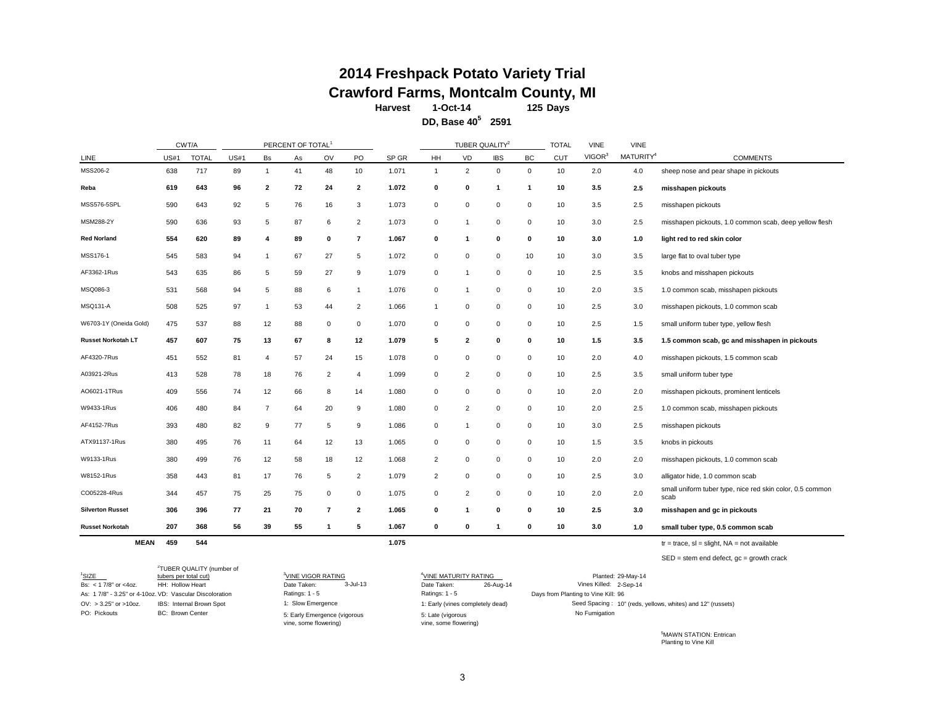# **2014 Freshpack Potato Variety Trial Crawford Farms, Montcalm County, MI**<br>Harvest 1-Oct-14 125 Days

**Harvest 125 Days 1-Oct-14**

**2591 DD, Base 405**

|                         |             | CWT/A        |             |                | PERCENT OF TOTAL <sup>1</sup> |                |                          |       |                |                         | TUBER QUALITY <sup>2</sup> |             | <b>TOTAL</b> | <b>VINE</b>        | <b>VINE</b>           |                                                                   |
|-------------------------|-------------|--------------|-------------|----------------|-------------------------------|----------------|--------------------------|-------|----------------|-------------------------|----------------------------|-------------|--------------|--------------------|-----------------------|-------------------------------------------------------------------|
| LINE                    | <b>US#1</b> | <b>TOTAL</b> | <b>US#1</b> | Bs             | As                            | OV             | PO                       | SP GR | HH             | VD                      | <b>IBS</b>                 | BC          | <b>CUT</b>   | VIGOR <sup>3</sup> | MATURITY <sup>4</sup> | <b>COMMENTS</b>                                                   |
| MSS206-2                | 638         | 717          | 89          | $\mathbf{1}$   | 41                            | 48             | 10                       | 1.071 | 1              | 2                       | 0                          | 0           | 10           | 2.0                | 4.0                   | sheep nose and pear shape in pickouts                             |
| Reba                    | 619         | 643          | 96          | 2              | 72                            | 24             | 2                        | 1.072 | 0              | 0                       | -1                         | -1          | 10           | 3.5                | 2.5                   | misshapen pickouts                                                |
| MSS576-5SPL             | 590         | 643          | 92          | 5              | 76                            | 16             | 3                        | 1.073 | $\mathbf 0$    | $\Omega$                | $\Omega$                   | $\Omega$    | 10           | 3.5                | 2.5                   | misshapen pickouts                                                |
| MSM288-2Y               | 590         | 636          | 93          | 5              | 87                            | 6              | $\overline{2}$           | 1.073 | 0              | r.                      | $\mathbf 0$                | $\mathbf 0$ | 10           | 3.0                | 2.5                   | misshapen pickouts, 1.0 common scab, deep yellow flesh            |
| <b>Red Norland</b>      | 554         | 620          | 89          | 4              | 89                            | 0              | $\overline{\phantom{a}}$ | 1.067 | 0              | -1                      | 0                          | 0           | 10           | 3.0                | 1.0                   | light red to red skin color                                       |
| MSS176-1                | 545         | 583          | 94          | $\mathbf{1}$   | 67                            | 27             | 5                        | 1.072 | $\mathbf 0$    | $\Omega$                | $\Omega$                   | 10          | 10           | 3.0                | 3.5                   | large flat to oval tuber type                                     |
| AF3362-1Rus             | 543         | 635          | 86          | 5              | 59                            | 27             | 9                        | 1.079 | 0              |                         | $\mathbf 0$                | $\mathbf 0$ | 10           | 2.5                | 3.5                   | knobs and misshapen pickouts                                      |
| MSQ086-3                | 531         | 568          | 94          | 5              | 88                            | 6              | $\overline{1}$           | 1.076 | 0              | -1                      | $\mathbf 0$                | $\mathbf 0$ | 10           | 2.0                | 3.5                   | 1.0 common scab, misshapen pickouts                               |
| MSQ131-A                | 508         | 525          | 97          | $\mathbf{1}$   | 53                            | 44             | $\overline{2}$           | 1.066 | 1              | $\Omega$                | 0                          | $\mathbf 0$ | 10           | 2.5                | 3.0                   | misshapen pickouts, 1.0 common scab                               |
| W6703-1Y (Oneida Gold)  | 475         | 537          | 88          | 12             | 88                            | 0              | 0                        | 1.070 | 0              | 0                       | $\mathbf 0$                | $\mathbf 0$ | 10           | 2.5                | 1.5                   | small uniform tuber type, yellow flesh                            |
| Russet Norkotah LT      | 457         | 607          | 75          | 13             | 67                            | 8              | 12                       | 1.079 | 5              | $\overline{\mathbf{2}}$ | 0                          | 0           | 10           | $1.5$              | 3.5                   | 1.5 common scab, gc and misshapen in pickouts                     |
| AF4320-7Rus             | 451         | 552          | 81          | 4              | 57                            | 24             | 15                       | 1.078 | $\mathbf 0$    | $\Omega$                | $\Omega$                   | $\Omega$    | 10           | 2.0                | 4.0                   | misshapen pickouts, 1.5 common scab                               |
| A03921-2Rus             | 413         | 528          | 78          | 18             | 76                            | $\overline{2}$ | 4                        | 1.099 | 0              | $\overline{2}$          | $^{\circ}$                 | $\mathbf 0$ | 10           | 2.5                | 3.5                   | small uniform tuber type                                          |
| AO6021-1TRus            | 409         | 556          | 74          | 12             | 66                            | 8              | 14                       | 1.080 | $\mathbf 0$    | 0                       | $^{\circ}$                 | $\mathbf 0$ | 10           | 2.0                | 2.0                   | misshapen pickouts, prominent lenticels                           |
| W9433-1Rus              | 406         | 480          | 84          | $\overline{7}$ | 64                            | 20             | 9                        | 1.080 | 0              | $\overline{2}$          | $\Omega$                   | $\mathbf 0$ | 10           | 2.0                | 2.5                   | 1.0 common scab, misshapen pickouts                               |
| AF4152-7Rus             | 393         | 480          | 82          | 9              | 77                            | 5              | 9                        | 1.086 | 0              |                         | $\mathbf 0$                | $\mathbf 0$ | 10           | 3.0                | 2.5                   | misshapen pickouts                                                |
| ATX91137-1Rus           | 380         | 495          | 76          | 11             | 64                            | 12             | 13                       | 1.065 | $\mathbf 0$    | 0                       | $^{\circ}$                 | 0           | 10           | 1.5                | 3.5                   | knobs in pickouts                                                 |
| W9133-1Rus              | 380         | 499          | 76          | 12             | 58                            | 18             | 12                       | 1.068 | 2              | 0                       | $\mathbf 0$                | $\mathbf 0$ | 10           | 2.0                | 2.0                   | misshapen pickouts, 1.0 common scab                               |
| W8152-1Rus              | 358         | 443          | 81          | 17             | 76                            | 5              | 2                        | 1.079 | $\overline{2}$ | $\Omega$                | $\Omega$                   | 0           | 10           | 2.5                | 3.0                   | alligator hide, 1.0 common scab                                   |
| CO05228-4Rus            | 344         | 457          | 75          | 25             | 75                            | 0              | 0                        | 1.075 | 0              | $\overline{2}$          | $^{\circ}$                 | $\mathbf 0$ | 10           | 2.0                | 2.0                   | small uniform tuber type, nice red skin color, 0.5 common<br>scab |
| <b>Silverton Russet</b> | 306         | 396          | 77          | 21             | 70                            | $\overline{7}$ | 2                        | 1.065 | $\mathbf 0$    | -1                      | 0                          | 0           | 10           | 2.5                | 3.0                   | misshapen and gc in pickouts                                      |
| <b>Russet Norkotah</b>  | 207         | 368          | 56          | 39             | 55                            | -1             | 5                        | 1.067 | 0              | 0                       | -1                         | 0           | 10           | 3.0                | 1.0                   | small tuber type, 0.5 common scab                                 |
| <b>MEAN</b>             | 459         | 544          |             |                |                               |                |                          | 1.075 |                |                         |                            |             |              |                    |                       | $tr = trace$ , si = slight, NA = not available                    |

SED = stem end defect, gc = growth crack

| <sup>1</sup> SIZE          | <sup>2</sup> TUBER QUALITY (number of<br>tubers per total cut) | <sup>3</sup> VINE VIGOR RATING                        | <sup>4</sup> VINE MATURITY RATING          | Planted: 29-May-14                                          |
|----------------------------|----------------------------------------------------------------|-------------------------------------------------------|--------------------------------------------|-------------------------------------------------------------|
| Bs: $<$ 1 7/8" or $<$ 40z. | HH: Hollow Heart                                               | $3$ -Jul-13<br>Date Taken:                            | 26-Aug-14<br>Date Taken:                   | Vines Killed: 2-Sep-14                                      |
|                            | As: 17/8" - 3.25" or 4-10oz. VD: Vascular Discoloration        | Ratings: 1 - 5                                        | Ratings: 1 - 5                             | Days from Planting to Vine Kill: 96                         |
| $OV: > 3.25"$ or $>100z$ . | IBS: Internal Brown Spot                                       | 1: Slow Emergence                                     | 1: Early (vines completely dead)           | Seed Spacing: 10" (reds, yellows, whites) and 12" (russets) |
| PO: Pickouts               | <b>BC: Brown Center</b>                                        | 5: Early Emergence (vigorous<br>vine, some flowering) | 5: Late (vigorous<br>vine, some flowering) | No Fumigation                                               |

5 MAWN STATION: Entrican Planting to Vine Kill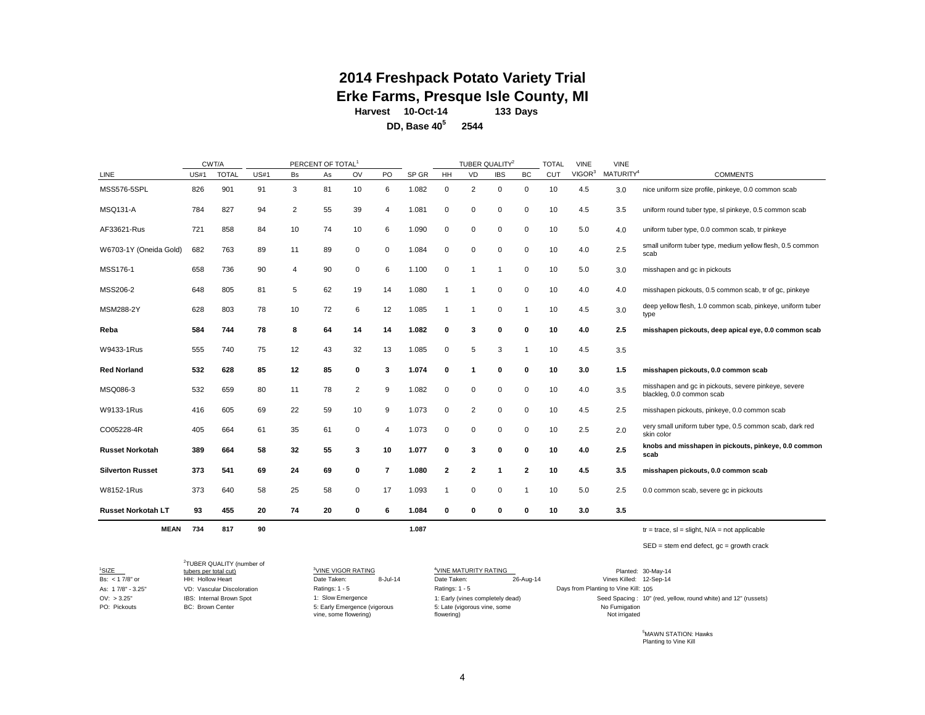#### **133 Days 2014 Freshpack Potato Variety Trial Erke Farms, Presque Isle County, MI Harvest 10-Oct-14**

**2544 DD, Base 405**

TOTAL VINE VINE LINE US#1 TOTAL US#1 Bs As OV PO SP GR HH VD IBS BC CUT VIGOR<sup>3</sup> MATURITY4 COMMENTS MSS576-5SPL 826 901 91 3 81 10 6 1.082 0 2 0 0 10 4.5 3.0 nice uniform size profile, pinkeye, 0.0 common scab MSQ131-A 784 827 94 2 55 39 4 1.081 0 0 0 0 10 4.5 3.5 uniform round tuber type, sl pinkeye, 0.5 common scab AF33621-Rus 721 858 84 10 74 10 6 1.090 0 0 0 0 10 5.0 4.0 uniform tuber type, 0.0 common scab, tr pinkeye W6703-1Y (Oneida Gold) 682 763 89 11 89 0 0 1.084 0 0 0 0 10 4.0 2.5 small uniform tuber type, medium yellow flesh, 0.5 common scab MSS176-1 658 736 90 4 90 0 6 1.100 0 1 1 0 10 5.0 3.0 misshapen and gc in pickouts MSS206-2 648 805 81 5 62 19 14 1.080 1 1 0 0 10 4.0 an misshapen pickouts, 0.5 common scab, tr of gc, pinkeye MSM288-2Y 628 803 78 10 72 6 12 1.085 1 1 0 1 10 4.5 3.0 deep yellow flesh, 1.0 common scab, pinkeye, uniform tuber type **Reba 584 744 78 8 64 14 14 1.082 0 3 0 0 10 4.0 2.5 misshapen pickouts, deep apical eye, 0.0 common scab** W9433-1Rus 555 740 75 12 43 32 13 1.085 0 5 3 1 10 4.5 3.5 **Red Norland 532 628 85 12 85 0 3 1.074 0 1 0 0 10 3.0 1.5 misshapen pickouts, 0.0 common scab** MSQ086-3 532 659 80 11 78 2 9 1.082 0 0 0 0 10 4.0 3.5 misshapen and gc in pickouts, severe pinkeye, severe blackleg, 0.0 common scab W9133-1Rus 416 605 69 22 59 10 9 1.073 0 2 0 0 10 4.5 2.5 misshapen pickouts, pinkeye, 0.0 common scab CO05228-4R <sup>405</sup> <sup>664</sup> <sup>61</sup> <sup>35</sup> <sup>61</sup> <sup>0</sup> <sup>4</sup> 1.073 <sup>0</sup> <sup>0</sup> <sup>0</sup> <sup>0</sup> <sup>10</sup> 2.5 2.0 very small uniform tuber type, 0.5 common scab, dark red skin color Russet Norkotah 389 664 58 32 55 3 10 1.077 0 3 0 0 10 4.0 2.5 knobs and misshapen in pickouts, pinkeye, 0.0 common **scab Silverton Russet 373 541 69 24 69 0 7 1.080 2 2 1 2 10 4.5 3.5 misshapen pickouts, 0.0 common scab** W8152-1Rus 373 640 58 25 58 0 17 1.093 1 0 0 1 10 5.0 2.5 0.0 common scab, severe gc in pickouts **Russet Norkotah LT 93 455 20 74 20 0 6 1.084 0 0 0 0 10 3.0 3.5 MEAN 734 817 90 1.087** tr = trace, sl = slight, N/A = not applicable  $\text{CWT/A}$  PERCENT OF TOTAL<sup>1</sup> CWT/A CUALITY<sup>2</sup>

 $SED = stem$  end defect,  $ac =$  growth crack

 $1$ SIZE SIZE 3<br>tubers per total cut) <sup>3</sup>VINE VIGOR RATING VINE MATURITY RATING Planted: 30-May-14 Bs: <17/8" or HH: Hollow Heart Cleart Date Taken: 8-Jul-14 Date Taken: 26-Aug-14 Vines Killed: 12-Sep-14 As: 1 7/8" - 3.25" VD: Vascular Discoloration 105 Days from Planting to Vine Kill: OV: > 3.25" IBS: Internal Brown Spot 1: Slow Emergence 1: Sing Energies 1: Early (vines completely dead) Seed Spacing : 10" (red, yellow, round white) and 12" (russets) PO: Pickouts BC: Brown Center 2 TUBER QUALITY (number of Ratings: 1 - 5 Ratings: 1 - 5 No Fumigation Not irrigated 26-Aug-14 5: Early Emergence (vigorous vine, some flowering) 1: Slow Emergence 5: Late (vigorous vine, some flowering)

> 5 MAWN STATION: Hawks Planting to Vine Kill

4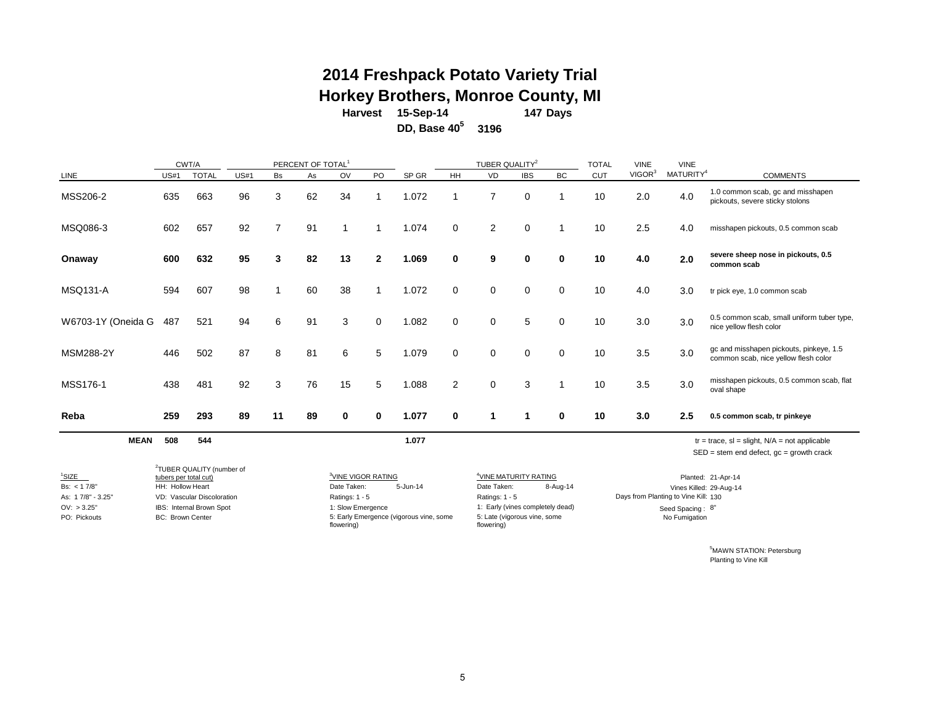### **2014 Freshpack Potato Variety Trial Horkey Brothers, Monroe County, MI**

**Days 147 Harvest 15-Sep-14**

**DD, Βa** 

| ase 40 $^{\circ}$ | 3196 |
|-------------------|------|
|-------------------|------|

|                                   |                                           | CWT/A                                 |             |                | PERCENT OF TOTAL <sup>1</sup> |                                               |                 |          |             | TUBER QUALITY <sup>2</sup>                       |             |             | <b>TOTAL</b> | <b>VINE</b>        | <b>VINE</b>                          |                                                                                                    |
|-----------------------------------|-------------------------------------------|---------------------------------------|-------------|----------------|-------------------------------|-----------------------------------------------|-----------------|----------|-------------|--------------------------------------------------|-------------|-------------|--------------|--------------------|--------------------------------------|----------------------------------------------------------------------------------------------------|
| LINE                              | <b>US#1</b>                               | <b>TOTAL</b>                          | <b>US#1</b> | <b>Bs</b>      | As                            | OV                                            | PO              | SP GR    | <b>HH</b>   | VD                                               | <b>IBS</b>  | <b>BC</b>   | <b>CUT</b>   | VIGOR <sup>3</sup> | MATURITY <sup>4</sup>                | <b>COMMENTS</b>                                                                                    |
| MSS206-2                          | 635                                       | 663                                   | 96          | 3              | 62                            | 34                                            |                 | 1.072    |             | $\overline{7}$                                   | $\Omega$    |             | 10           | 2.0                | 4.0                                  | 1.0 common scab, gc and misshapen<br>pickouts, severe sticky stolons                               |
| MSQ086-3                          | 602                                       | 657                                   | 92          | $\overline{7}$ | 91                            |                                               |                 | 1.074    | 0           | $\overline{2}$                                   | $\mathbf 0$ |             | 10           | 2.5                | 4.0                                  | misshapen pickouts, 0.5 common scab                                                                |
| Onaway                            | 600                                       | 632                                   | 95          | 3              | 82                            | 13                                            | $\mathbf{2}$    | 1.069    | $\bf{0}$    | 9                                                | $\bf{0}$    | $\bf{0}$    | 10           | 4.0                | 2.0                                  | severe sheep nose in pickouts, 0.5<br>common scab                                                  |
| <b>MSQ131-A</b>                   | 594                                       | 607                                   | 98          | 1              | 60                            | 38                                            |                 | 1.072    | 0           | $\mathbf 0$                                      | $\mathbf 0$ | $\Omega$    | 10           | 4.0                | 3.0                                  | tr pick eye, 1.0 common scab                                                                       |
| W6703-1Y (Oneida G                | 487                                       | 521                                   | 94          | 6              | 91                            | 3                                             | $\mathbf 0$     | 1.082    | $\mathbf 0$ | 0                                                | 5           | $\mathbf 0$ | 10           | 3.0                | 3.0                                  | 0.5 common scab, small uniform tuber type,<br>nice yellow flesh color                              |
| <b>MSM288-2Y</b>                  | 446                                       | 502                                   | 87          | 8              | 81                            | 6                                             | $5\phantom{.0}$ | 1.079    | 0           | $\mathbf 0$                                      | $\mathbf 0$ | $\Omega$    | 10           | 3.5                | 3.0                                  | gc and misshapen pickouts, pinkeye, 1.5<br>common scab, nice yellow flesh color                    |
| MSS176-1                          | 438                                       | 481                                   | 92          | 3              | 76                            | 15                                            | 5               | 1.088    | 2           | $\mathbf 0$                                      | 3           |             | 10           | 3.5                | 3.0                                  | misshapen pickouts, 0.5 common scab, flat<br>oval shape                                            |
| Reba                              | 259                                       | 293                                   | 89          | 11             | 89                            | 0                                             | 0               | 1.077    | 0           | 1                                                | -1          | $\bf{0}$    | 10           | 3.0                | 2.5                                  | 0.5 common scab, tr pinkeye                                                                        |
| <b>MEAN</b>                       | 508                                       | 544                                   |             |                |                               |                                               |                 | 1.077    |             |                                                  |             |             |              |                    |                                      | $tr = trace$ , sl = slight, $N/A = not$ applicable<br>$SED = stem$ end defect, $gc = growth$ crack |
|                                   |                                           | <sup>2</sup> TUBER QUALITY (number of |             |                |                               |                                               |                 |          |             |                                                  |             |             |              |                    |                                      |                                                                                                    |
| <sup>1</sup> SIZE<br>Bs: < 1 7/8" | tubers per total cut)<br>HH: Hollow Heart |                                       |             |                |                               | <sup>3</sup> VINE VIGOR RATING<br>Date Taken: |                 | 5-Jun-14 |             | <sup>4</sup> VINE MATURITY RATING<br>Date Taken: |             | 8-Aug-14    |              |                    | Vines Killed: 29-Aug-14              | Planted: 21-Apr-14                                                                                 |
| As: 17/8" - 3.25"                 |                                           | VD: Vascular Discoloration            |             |                |                               | Ratings: 1 - 5                                |                 |          |             | Ratings: 1 - 5                                   |             |             |              |                    | Days from Planting to Vine Kill: 130 |                                                                                                    |

PO: Pickouts BC: Brown Center

OV: > 3.25" IBS: Internal Brown Spot 1: Slow Emergence 1: Early (vines completely dead) Seed Spacing : 8" 5: Early Emergence (vigorous vine, some flowering)

5: Late (vigorous vine, some flowering)

Seed Spacing : 8" No Fumigation

> 5 MAWN STATION: Petersburg Planting to Vine Kill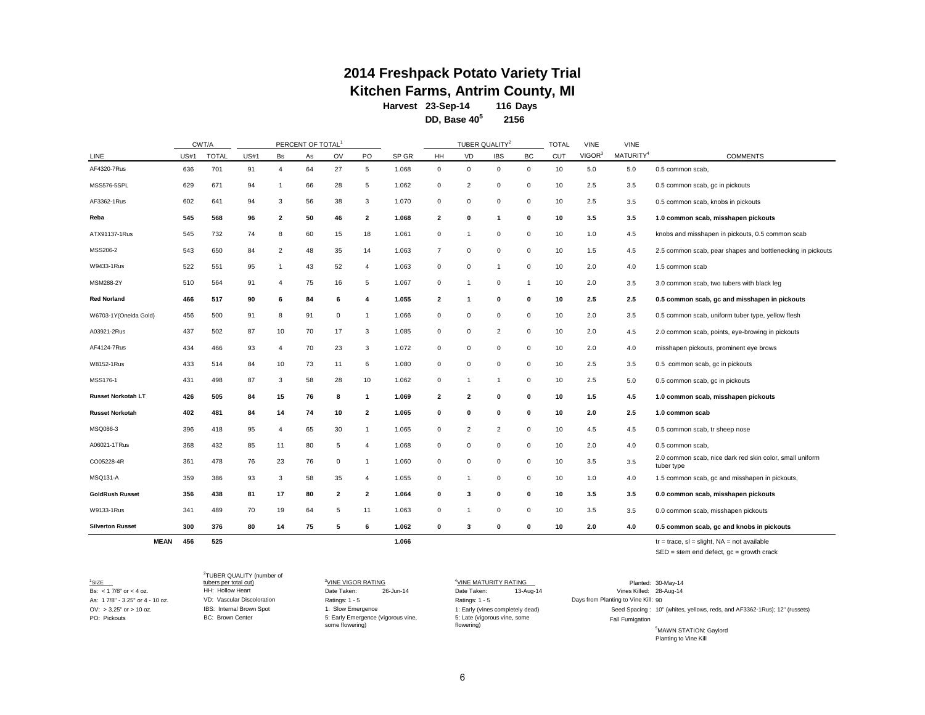# **Kitchen Farms, Antrim County, MI**<br>Harvest 23-Sep-14 116 Days **2014 Freshpack Potato Variety Trial**

**Harvest 116 Days 23-Sep-14**

**DD, Base 405 2156**

|                           |             | CWT/A        |             |                         | PERCENT OF TOTAL <sup>1</sup> |             |                |       |                         | TUBER QUALITY <sup>2</sup> |                |              | <b>TOTAL</b> | <b>VINE</b>        | <b>VINE</b>           |                                                                        |
|---------------------------|-------------|--------------|-------------|-------------------------|-------------------------------|-------------|----------------|-------|-------------------------|----------------------------|----------------|--------------|--------------|--------------------|-----------------------|------------------------------------------------------------------------|
| LINE                      | <b>US#1</b> | <b>TOTAL</b> | <b>US#1</b> | <b>Bs</b>               | As                            | OV          | PO.            | SP GR | HH                      | VD                         | <b>IBS</b>     | BC           | CUT          | VIGOR <sup>3</sup> | MATURITY <sup>4</sup> | <b>COMMENTS</b>                                                        |
| AF4320-7Rus               | 636         | 701          | 91          | 4                       | 64                            | 27          | 5              | 1.068 | $\mathbf 0$             | 0                          | 0              | $\mathbf 0$  | 10           | 5.0                | 5.0                   | 0.5 common scab,                                                       |
| MSS576-5SPL               | 629         | 671          | 94          | $\mathbf{1}$            | 66                            | 28          | 5              | 1.062 | $\mathbf 0$             | 2                          | $\mathbf 0$    | 0            | 10           | 2.5                | 3.5                   | 0.5 common scab, gc in pickouts                                        |
| AF3362-1Rus               | 602         | 641          | 94          | 3                       | 56                            | 38          | 3              | 1.070 | $\mathbf 0$             | $\mathbf 0$                | $\mathbf 0$    | $\mathbf 0$  | 10           | 2.5                | 3.5                   | 0.5 common scab, knobs in pickouts                                     |
| Reba                      | 545         | 568          | 96          | $\overline{\mathbf{2}}$ | 50                            | 46          | $\overline{2}$ | 1.068 | $\overline{\mathbf{2}}$ | $\mathbf{0}$               | $\mathbf{1}$   | 0            | 10           | 3.5                | 3.5                   | 1.0 common scab, misshapen pickouts                                    |
| ATX91137-1Rus             | 545         | 732          | 74          | 8                       | 60                            | 15          | 18             | 1.061 | 0                       | -1                         | $\mathbf 0$    | $\mathbf 0$  | 10           | 1.0                | 4.5                   | knobs and misshapen in pickouts, 0.5 common scab                       |
| MSS206-2                  | 543         | 650          | 84          | 2                       | 48                            | 35          | 14             | 1.063 | $\overline{7}$          | $\Omega$                   | $\mathbf 0$    | 0            | 10           | 1.5                | 4.5                   | 2.5 common scab, pear shapes and bottlenecking in pickouts             |
| W9433-1Rus                | 522         | 551          | 95          | -1                      | 43                            | 52          | 4              | 1.063 | $\mathbf 0$             | $\Omega$                   | $\mathbf{1}$   | 0            | 10           | 2.0                | 4.0                   | 1.5 common scab                                                        |
| MSM288-2Y                 | 510         | 564          | 91          | $\overline{4}$          | 75                            | 16          | 5              | 1.067 | 0                       | $\mathbf 1$                | $\mathbf 0$    | $\mathbf{1}$ | 10           | 2.0                | 3.5                   | 3.0 common scab, two tubers with black leg                             |
| Red Norland               | 466         | 517          | 90          | 6                       | 84                            | 6           | 4              | 1.055 | $\overline{\mathbf{2}}$ | -1                         | 0              | $\bf{0}$     | 10           | 2.5                | 2.5                   | 0.5 common scab, gc and misshapen in pickouts                          |
| W6703-1Y(Oneida Gold)     | 456         | 500          | 91          | 8                       | 91                            | $\mathbf 0$ | $\mathbf{1}$   | 1.066 | $\mathbf 0$             | $\mathbf 0$                | $\mathbf 0$    | 0            | 10           | 2.0                | 3.5                   | 0.5 common scab, uniform tuber type, yellow flesh                      |
| A03921-2Rus               | 437         | 502          | 87          | 10                      | 70                            | 17          | 3              | 1.085 | $\mathbf 0$             | $\mathbf 0$                | $\overline{2}$ | $\mathbf 0$  | 10           | 2.0                | 4.5                   | 2.0 common scab, points, eye-browing in pickouts                       |
| AF4124-7Rus               | 434         | 466          | 93          | $\overline{4}$          | 70                            | 23          | 3              | 1.072 | $\mathsf 0$             | $\mathbf 0$                | $\mathsf 0$    | $\mathbf 0$  | 10           | 2.0                | 4.0                   | misshapen pickouts, prominent eye brows                                |
| W8152-1Rus                | 433         | 514          | 84          | 10                      | 73                            | 11          | 6              | 1.080 | 0                       | $\mathbf 0$                | 0              | $\mathbf 0$  | 10           | 2.5                | 3.5                   | 0.5 common scab, gc in pickouts                                        |
| MSS176-1                  | 431         | 498          | 87          | 3                       | 58                            | 28          | 10             | 1.062 | 0                       | $\mathbf{1}$               | $\mathbf{1}$   | 0            | 10           | 2.5                | 5.0                   | 0.5 common scab, gc in pickouts                                        |
| <b>Russet Norkotah LT</b> | 426         | 505          | 84          | 15                      | 76                            | 8           | $\mathbf{1}$   | 1.069 | $\overline{\mathbf{2}}$ | $\overline{\mathbf{2}}$    | $\bf{0}$       | 0            | 10           | 1.5                | 4.5                   | 1.0 common scab, misshapen pickouts                                    |
| <b>Russet Norkotah</b>    | 402         | 481          | 84          | 14                      | 74                            | 10          | $\overline{2}$ | 1.065 | $\mathbf 0$             | 0                          | 0              | 0            | 10           | 2.0                | 2.5                   | 1.0 common scab                                                        |
| MSQ086-3                  | 396         | 418          | 95          | 4                       | 65                            | 30          | $\mathbf{1}$   | 1.065 | 0                       | $\overline{2}$             | $\overline{2}$ | $\mathbf 0$  | 10           | 4.5                | 4.5                   | 0.5 common scab, tr sheep nose                                         |
| A06021-1TRus              | 368         | 432          | 85          | 11                      | 80                            | 5           | 4              | 1.068 | $\mathbf 0$             | $\mathbf 0$                | 0              | 0            | 10           | 2.0                | 4.0                   | 0.5 common scab.                                                       |
| CO05228-4R                | 361         | 478          | 76          | 23                      | 76                            | $\mathbf 0$ | $\mathbf{1}$   | 1.060 | $\mathbf 0$             | $\mathbf 0$                | $\mathbf 0$    | $\mathbf 0$  | 10           | 3.5                | 3.5                   | 2.0 common scab, nice dark red skin color, small uniform<br>tuber type |
| <b>MSQ131-A</b>           | 359         | 386          | 93          | 3                       | 58                            | 35          | $\overline{4}$ | 1.055 | $\mathbf 0$             | -1                         | $\mathbf 0$    | $\mathsf 0$  | 10           | 1.0                | 4.0                   | 1.5 common scab, gc and misshapen in pickouts,                         |
| <b>GoldRush Russet</b>    | 356         | 438          | 81          | 17                      | 80                            | 2           | $\overline{2}$ | 1.064 | $\mathbf 0$             | 3                          | 0              | $\mathbf{0}$ | 10           | 3.5                | 3.5                   | 0.0 common scab, misshapen pickouts                                    |
| W9133-1Rus                | 341         | 489          | 70          | 19                      | 64                            | 5           | 11             | 1.063 | 0                       | -1                         | $\mathbf 0$    | 0            | 10           | 3.5                | 3.5                   | 0.0 common scab, misshapen pickouts                                    |
| <b>Silverton Russet</b>   | 300         | 376          | 80          | 14                      | 75                            | 5           | 6              | 1.062 | $\mathbf{0}$            | 3                          | $\bf{0}$       | $\bf{0}$     | 10           | 2.0                | 4.0                   | 0.5 common scab, gc and knobs in pickouts                              |

**MEAN 456 525 1.066** tr = trace, sl = slight, NA = not available SED = stem end defect, gc = growth crack

PO: Pickouts

SIZE 3<sup>3</sup> VD: Vascular Discoloration HH: Hollow Heart BC: Brown Center IBS: Internal Brown Spot

2 TUBER QUALITY (number of

 $\frac{3 \text{VINE VIGOR RATING}}{26 - \text{June} + \text{A}}$   $\frac{4 \text{VINE MATURITY F}}{26 - \text{June} + \text{A}}$ 5: Early Emergence (vigorous vine, some flowering)

As: 1 7/8" - 3.25" or 4 - 10 oz. VD: Vascular Discoloration Ratings: 1 - 5 Ratings: 1 - 5 Ratings: 1 - 5 5: Late (vigorous vine, some flowering)

 $\begin{array}{cccc}\n^{4}\textcolor{red}{\text{VINE MATURITY RATING}}\textcolor{red}{\text{MAP-14}}\end{array} \begin{array}{cccc}\n\textcolor{red}{\text{WINE MATUR}}\textcolor{red}{\text{NAP-14}}\end{array} \begin{array}{cccc}\n\textcolor{red}{\text{Vines Killed: 30-May-14}}\end{array}$ Bs: <1 7/8" or < 4 oz. The HH: Hollow Heart<br>
As: 1 7/8" or < 4 oz. VD: Vascular Discoloration<br>
As: 1 7/8" - 3.25" or 4 - 10 oz. VD: Vascular Discoloration Ratings: 1 - 5 Ratings: 1 - 5 Days from Planting to Vine Kill: 90 OV: > 3.25" or > 10 oz. 10" (whites, yellows, reds, and AF3362-1Rus); 12" (russets) 5 MAWN STATION: Gaylord Planting to Vine Kill Fall Fumigation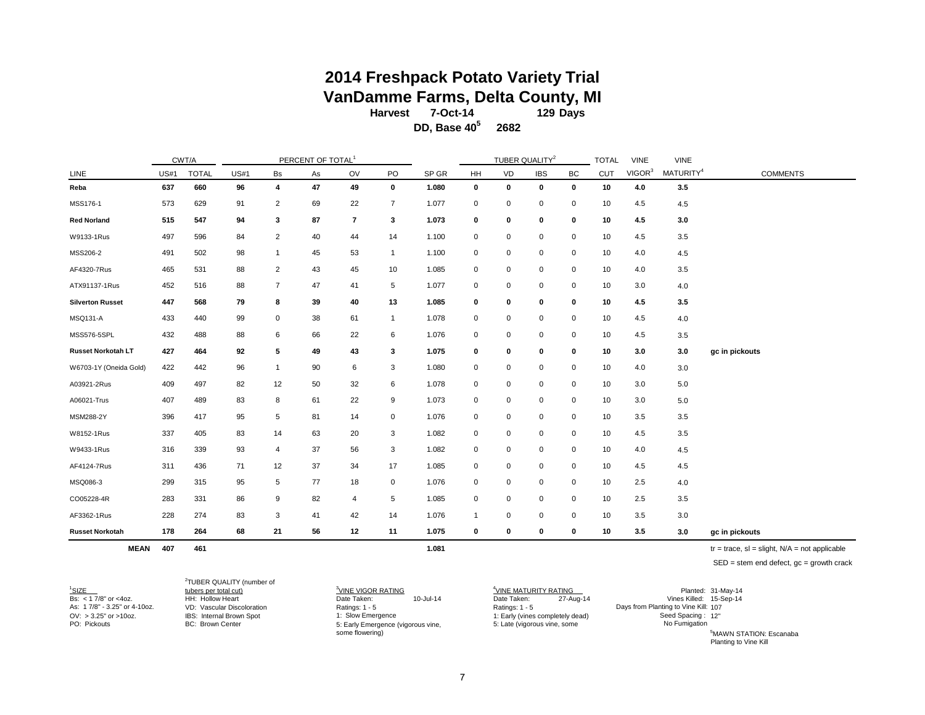### **2014 Freshpack Potato Variety Trial VanDamme Farms, Delta County, MI**

**129 Days Harvest 7-Oct-14**

**DD, Base 405 2682**

|                         |             | CWT/A        |             |                | PERCENT OF TOTAL <sup>1</sup> |                          |              |       |              |    | TUBER QUALITY <sup>2</sup> |             | <b>TOTAL</b> | <b>VINE</b>        | <b>VINE</b>           |                 |
|-------------------------|-------------|--------------|-------------|----------------|-------------------------------|--------------------------|--------------|-------|--------------|----|----------------------------|-------------|--------------|--------------------|-----------------------|-----------------|
| LINE                    | <b>US#1</b> | <b>TOTAL</b> | <b>US#1</b> | Bs             | As                            | OV                       | PO           | SP GR | HH           | VD | <b>IBS</b>                 | BC          | <b>CUT</b>   | VIGOR <sup>3</sup> | MATURITY <sup>4</sup> | <b>COMMENTS</b> |
| Reba                    | 637         | 660          | 96          | 4              | 47                            | 49                       | $\mathbf 0$  | 1.080 | 0            | 0  | 0                          | 0           | 10           | 4.0                | 3.5                   |                 |
| MSS176-1                | 573         | 629          | 91          | $\overline{c}$ | 69                            | 22                       | 7            | 1.077 | $\mathbf 0$  | 0  | 0                          | 0           | 10           | 4.5                | 4.5                   |                 |
| <b>Red Norland</b>      | 515         | 547          | 94          | 3              | 87                            | $\overline{\phantom{a}}$ | 3            | 1.073 | 0            | 0  | 0                          | 0           | 10           | 4.5                | 3.0                   |                 |
| W9133-1Rus              | 497         | 596          | 84          | $\overline{2}$ | 40                            | 44                       | 14           | 1.100 | 0            | 0  | 0                          | 0           | 10           | 4.5                | 3.5                   |                 |
| MSS206-2                | 491         | 502          | 98          | $\overline{1}$ | 45                            | 53                       | $\mathbf{1}$ | 1.100 | 0            | 0  | 0                          | 0           | 10           | 4.0                | 4.5                   |                 |
| AF4320-7Rus             | 465         | 531          | 88          | 2              | 43                            | 45                       | 10           | 1.085 | 0            | 0  | 0                          | 0           | 10           | 4.0                | 3.5                   |                 |
| ATX91137-1Rus           | 452         | 516          | 88          | $\overline{7}$ | 47                            | 41                       | 5            | 1.077 | $\mathbf 0$  | 0  | 0                          | 0           | 10           | 3.0                | 4.0                   |                 |
| <b>Silverton Russet</b> | 447         | 568          | 79          | 8              | 39                            | 40                       | 13           | 1.085 | 0            | 0  | 0                          | 0           | 10           | 4.5                | 3.5                   |                 |
| <b>MSQ131-A</b>         | 433         | 440          | 99          | 0              | 38                            | 61                       | $\mathbf{1}$ | 1.078 | $\mathbf 0$  | 0  | $\mathbf 0$                | $\mathbf 0$ | 10           | 4.5                | 4.0                   |                 |
| MSS576-5SPL             | 432         | 488          | 88          | 6              | 66                            | 22                       | 6            | 1.076 | 0            | 0  | 0                          | 0           | 10           | 4.5                | 3.5                   |                 |
| Russet Norkotah LT      | 427         | 464          | 92          | 5              | 49                            | 43                       | 3            | 1.075 | 0            | 0  | 0                          | 0           | 10           | 3.0                | 3.0                   | gc in pickouts  |
| W6703-1Y (Oneida Gold)  | 422         | 442          | 96          | $\overline{1}$ | 90                            | 6                        | 3            | 1.080 | 0            | 0  | 0                          | 0           | 10           | 4.0                | 3.0                   |                 |
| A03921-2Rus             | 409         | 497          | 82          | 12             | 50                            | 32                       | 6            | 1.078 | 0            | 0  | 0                          | 0           | 10           | 3.0                | 5.0                   |                 |
| A06021-Trus             | 407         | 489          | 83          | 8              | 61                            | 22                       | 9            | 1.073 | 0            | 0  | 0                          | 0           | 10           | 3.0                | 5.0                   |                 |
| MSM288-2Y               | 396         | 417          | 95          | 5              | 81                            | 14                       | 0            | 1.076 | 0            | 0  | 0                          | 0           | 10           | 3.5                | 3.5                   |                 |
| W8152-1Rus              | 337         | 405          | 83          | 14             | 63                            | 20                       | 3            | 1.082 | 0            | 0  | 0                          | 0           | 10           | 4.5                | 3.5                   |                 |
| W9433-1Rus              | 316         | 339          | 93          | 4              | 37                            | 56                       | 3            | 1.082 | $\mathbf 0$  | 0  | $\pmb{0}$                  | 0           | 10           | 4.0                | 4.5                   |                 |
| AF4124-7Rus             | 311         | 436          | 71          | 12             | 37                            | 34                       | 17           | 1.085 | 0            | 0  | 0                          | 0           | 10           | 4.5                | 4.5                   |                 |
| MSQ086-3                | 299         | 315          | 95          | 5              | 77                            | 18                       | $\mathbf 0$  | 1.076 | 0            | 0  | 0                          | 0           | 10           | 2.5                | 4.0                   |                 |
| CO05228-4R              | 283         | 331          | 86          | 9              | 82                            | 4                        | 5            | 1.085 | $\mathbf 0$  | 0  | $\mathbf 0$                | 0           | 10           | 2.5                | 3.5                   |                 |
| AF3362-1Rus             | 228         | 274          | 83          | 3              | 41                            | 42                       | 14           | 1.076 | $\mathbf{1}$ | 0  | 0                          | 0           | 10           | 3.5                | 3.0                   |                 |
| <b>Russet Norkotah</b>  | 178         | 264          | 68          | 21             | 56                            | 12                       | 11           | 1.075 | 0            | 0  | 0                          | 0           | 10           | 3.5                | 3.0                   | gc in pickouts  |

**MEAN 407 461 1.081** tr = trace, sl = slight, N/A = not applicable

SED = stem end defect, gc = growth crack

SIZE 3<sup>3</sup> PO: Pickouts **BC: Brown Center** 

 $1$ SIZE

2 TUBER QUALITY (number of

 $\frac{3}{2}$ VINE VIGOR RATING  $\frac{4}{2}$ VINE MATUF Date Taken: 5: Early Emergence (vigorous vine, some flowering)

<sup>4</sup>VINE MATURITY RATING VD: Vascular Discoloration Ratings: 1 - 5 Ratings: 1 - 5 107 As: 1 7/8" - 3.25" or 4-10oz. Days from Planting to Vine Kill: OV: > 3.25" or >10oz. IBS: Internal Brown Spot 1: Slow Emergence 1: Early (vines completely dead) Seed Spacing : 12" 5: Late (vigorous vine, some No Funigation  $27-Auq-14$ 

Bs: < 1 7/8" or <4oz. HH: Hollow Heart Date Taken: 10-Jul-14 Date Taken: 15-Sep-14 Vines Killed: Planted: 31-May-14

5 MAWN STATION: Escanaba Planting to Vine Kill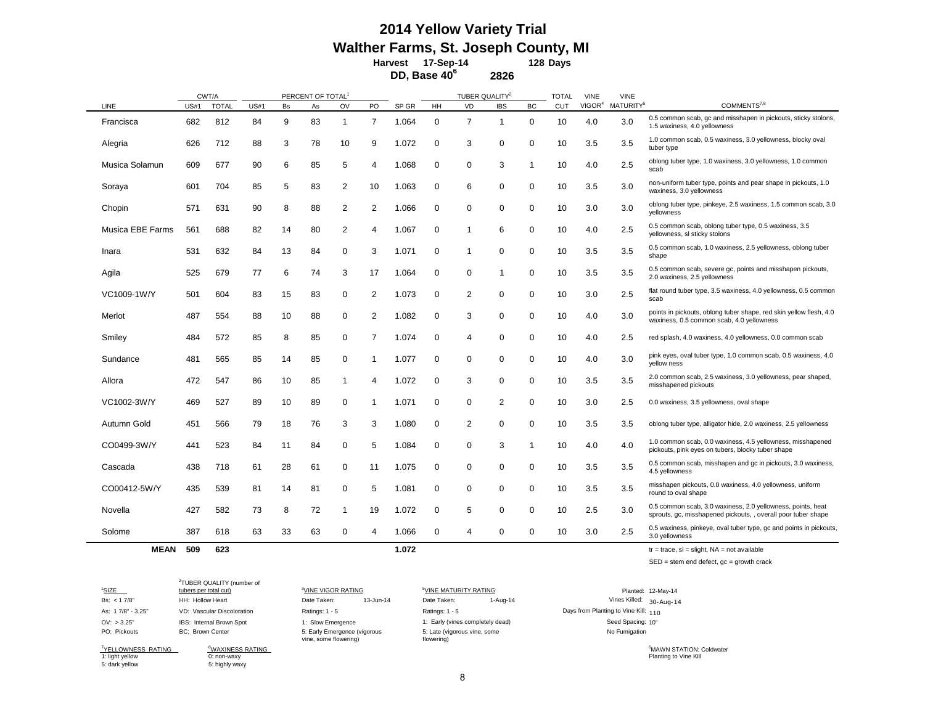#### **Days 128 Harvest 17-Sep-14 2014 Yellow Variety Trial Walther Farms, St. Joseph County, MI**

**DD, Base 40<sup>6</sup> 2826**

|                  |             | CWT/A        |             |    | PERCENT OF TOTAL <sup>1</sup> |                |                         |       |             | TUBER QUALITY <sup>2</sup> |              |                  | <b>TOTAL</b> | <b>VINE</b>        | <b>VINE</b>           |                                                                                                                              |
|------------------|-------------|--------------|-------------|----|-------------------------------|----------------|-------------------------|-------|-------------|----------------------------|--------------|------------------|--------------|--------------------|-----------------------|------------------------------------------------------------------------------------------------------------------------------|
| LINE             | <b>US#1</b> | <b>TOTAL</b> | <b>US#1</b> | Bs | As                            | OV             | PO                      | SP GR | HH          | VD                         | <b>IBS</b>   | ВC               | <b>CUT</b>   | VIGOR <sup>4</sup> | MATURITY <sup>5</sup> | COMMENTS <sup>7,8</sup>                                                                                                      |
| Francisca        | 682         | 812          | 84          | 9  | 83                            | -1             | $\overline{7}$          | 1.064 | 0           | $\overline{7}$             | $\mathbf{1}$ | $\mathbf 0$      | 10           | 4.0                | 3.0                   | 0.5 common scab, gc and misshapen in pickouts, sticky stolons,<br>1.5 waxiness, 4.0 yellowness                               |
| Alegria          | 626         | 712          | 88          | 3  | 78                            | 10             | 9                       | 1.072 | 0           | 3                          | 0            | $\mathbf 0$      | 10           | 3.5                | 3.5                   | 1.0 common scab, 0.5 waxiness, 3.0 yellowness, blocky oval<br>tuber type                                                     |
| Musica Solamun   | 609         | 677          | 90          | 6  | 85                            | 5              | 4                       | 1.068 | 0           | 0                          | 3            | $\mathbf 1$      | 10           | 4.0                | 2.5                   | oblong tuber type, 1.0 waxiness, 3.0 yellowness, 1.0 common<br>scab                                                          |
| Soraya           | 601         | 704          | 85          | 5  | 83                            | $\overline{2}$ | 10                      | 1.063 | $\mathbf 0$ | 6                          | $\Omega$     | $\pmb{0}$        | 10           | 3.5                | 3.0                   | non-uniform tuber type, points and pear shape in pickouts, 1.0<br>waxiness, 3.0 yellowness                                   |
| Chopin           | 571         | 631          | 90          | 8  | 88                            | $\overline{2}$ | $\overline{2}$          | 1.066 | 0           | 0                          | 0            | $\mathbf 0$      | 10           | 3.0                | 3.0                   | oblong tuber type, pinkeye, 2.5 waxiness, 1.5 common scab, 3.0<br>vellowness                                                 |
| Musica EBE Farms | 561         | 688          | 82          | 14 | 80                            | $\overline{2}$ | 4                       | 1.067 | 0           | 1                          | 6            | 0                | 10           | 4.0                | 2.5                   | 0.5 common scab, oblong tuber type, 0.5 waxiness, 3.5<br>yellowness, sl sticky stolons                                       |
| Inara            | 531         | 632          | 84          | 13 | 84                            | $\mathbf 0$    | 3                       | 1.071 | 0           | 1                          | $\Omega$     | 0                | 10           | 3.5                | 3.5                   | 0.5 common scab, 1.0 waxiness, 2.5 yellowness, oblong tuber<br>shape                                                         |
| Agila            | 525         | 679          | 77          | 6  | 74                            | 3              | 17                      | 1.064 | $\mathbf 0$ | 0                          |              | $\mathbf 0$      | 10           | 3.5                | 3.5                   | 0.5 common scab, severe gc, points and misshapen pickouts,<br>2.0 waxiness, 2.5 yellowness                                   |
| VC1009-1W/Y      | 501         | 604          | 83          | 15 | 83                            | 0              | $\overline{\mathbf{c}}$ | 1.073 | 0           | 2                          | $\Omega$     | 0                | 10           | 3.0                | 2.5                   | flat round tuber type, 3.5 waxiness, 4.0 yellowness, 0.5 common<br>scab                                                      |
| Merlot           | 487         | 554          | 88          | 10 | 88                            | $\mathbf 0$    | $\overline{2}$          | 1.082 | $\mathbf 0$ | 3                          | $\Omega$     | $\mathbf 0$      | 10           | 4.0                | 3.0                   | points in pickouts, oblong tuber shape, red skin yellow flesh, 4.0<br>waxiness, 0.5 common scab, 4.0 yellowness              |
| Smiley           | 484         | 572          | 85          | 8  | 85                            | 0              | $\overline{7}$          | 1.074 | 0           | 4                          | 0            | $\mathbf 0$      | 10           | 4.0                | 2.5                   | red splash, 4.0 waxiness, 4.0 yellowness, 0.0 common scab                                                                    |
| Sundance         | 481         | 565          | 85          | 14 | 85                            | $\mathbf 0$    | 1                       | 1.077 | $\mathbf 0$ | 0                          | $\Omega$     | $\boldsymbol{0}$ | 10           | 4.0                | 3.0                   | pink eyes, oval tuber type, 1.0 common scab, 0.5 waxiness, 4.0<br>yellow ness                                                |
| Allora           | 472         | 547          | 86          | 10 | 85                            | -1             | 4                       | 1.072 | $\mathbf 0$ | 3                          | $\Omega$     | $\mathbf 0$      | 10           | 3.5                | 3.5                   | 2.0 common scab, 2.5 waxiness, 3.0 yellowness, pear shaped,<br>misshapened pickouts                                          |
| VC1002-3W/Y      | 469         | 527          | 89          | 10 | 89                            | $\mathbf 0$    | 1                       | 1.071 | $\mathbf 0$ | 0                          | 2            | $\mathbf 0$      | 10           | 3.0                | 2.5                   | 0.0 waxiness, 3.5 yellowness, oval shape                                                                                     |
| Autumn Gold      | 451         | 566          | 79          | 18 | 76                            | 3              | 3                       | 1.080 | $\mathbf 0$ | 2                          | $\mathbf 0$  | $\mathbf 0$      | 10           | 3.5                | 3.5                   | oblong tuber type, alligator hide, 2.0 waxiness, 2.5 yellowness                                                              |
| CO0499-3W/Y      | 441         | 523          | 84          | 11 | 84                            | 0              | 5                       | 1.084 | 0           | 0                          | 3            | 1                | 10           | 4.0                | 4.0                   | 1.0 common scab, 0.0 waxiness, 4.5 yellowness, misshapened<br>pickouts, pink eyes on tubers, blocky tuber shape              |
| Cascada          | 438         | 718          | 61          | 28 | 61                            | $\mathbf 0$    | 11                      | 1.075 | 0           | 0                          | $\mathbf 0$  | $\mathbf 0$      | 10           | 3.5                | 3.5                   | 0.5 common scab, misshapen and gc in pickouts, 3.0 waxiness,<br>4.5 yellowness                                               |
| CO00412-5W/Y     | 435         | 539          | 81          | 14 | 81                            | $\mathbf 0$    | 5                       | 1.081 | $\mathbf 0$ | 0                          | $\mathbf 0$  | $\mathbf 0$      | 10           | 3.5                | 3.5                   | misshapen pickouts, 0.0 waxiness, 4.0 yellowness, uniform<br>round to oval shape                                             |
| Novella          | 427         | 582          | 73          | 8  | 72                            | -1             | 19                      | 1.072 | 0           | 5                          | $\mathbf 0$  | $\mathbf 0$      | 10           | 2.5                | 3.0                   | 0.5 common scab, 3.0 waxiness, 2.0 yellowness, points, heat<br>sprouts, gc, misshapened pickouts, , overall poor tuber shape |
| Solome           | 387         | 618          | 63          | 33 | 63                            | $\mathbf 0$    | 4                       | 1.066 | $\mathbf 0$ | 4                          | $\mathbf 0$  | 0                | 10           | 3.0                | 2.5                   | 0.5 waxiness, pinkeye, oval tuber type, gc and points in pickouts,<br>3.0 yellowness                                         |
| <b>MEAN</b>      | 509         | 623          |             |    |                               |                |                         | 1.072 |             |                            |              |                  |              |                    |                       | $tr = trace$ , sl = slight, NA = not available                                                                               |

SED = stem end defect, gc = growth crack

<sup>1</sup>SIZE SIZE 3<sup>3</sup> Bs: < 1 7/8" HH: Hollow Heart Date Taken: 13-Jun-14 Date Taken: 1-Aug-14 30-Aug-14 Vines Killed: As: 1 7/8" - 3.25" VD: Vascular Discoloration Ratings: 1 - 5 Ratings: 1 - 5 110 Days from Planting to Vine Kill: OV: > 3.25" IBS: Internal Brown Spot 1: Slow Emergence 1: Early (vines completely dead) Seed Spacing: 10" Seed Spacing: 10" PO: Pickouts BC: Brown Center 2 TUBER QUALITY (number of

7 YELLOWNESS RATING <sup>8</sup> 1: light yellow 0: non-waxy Planting to Vine Kill

5: dark yellow 5: highly waxy

<sup>3</sup>VINE VIGOR RATING 5: Early Emergence (vigorous vine, some flowering)

<sup>5</sup>VINE MATURITY RATING 5: Late (vigorous vine, some flowering)

Planted: 12-May-14 Seed Spacing: 10" No Fumigation

EMAXINESS RATING THE STATION: CONTROL OF STATION OF STATION CONTROL OF STATION CONTROL OF STATION CONTROL OF STATION CONTROL OF STATION CONTROL OF STATION CONTROL OF STATION CONTROL OF STATION CONTROL OF STATION CONTROL OF <sup>6</sup>MAWN STATION: Coldwater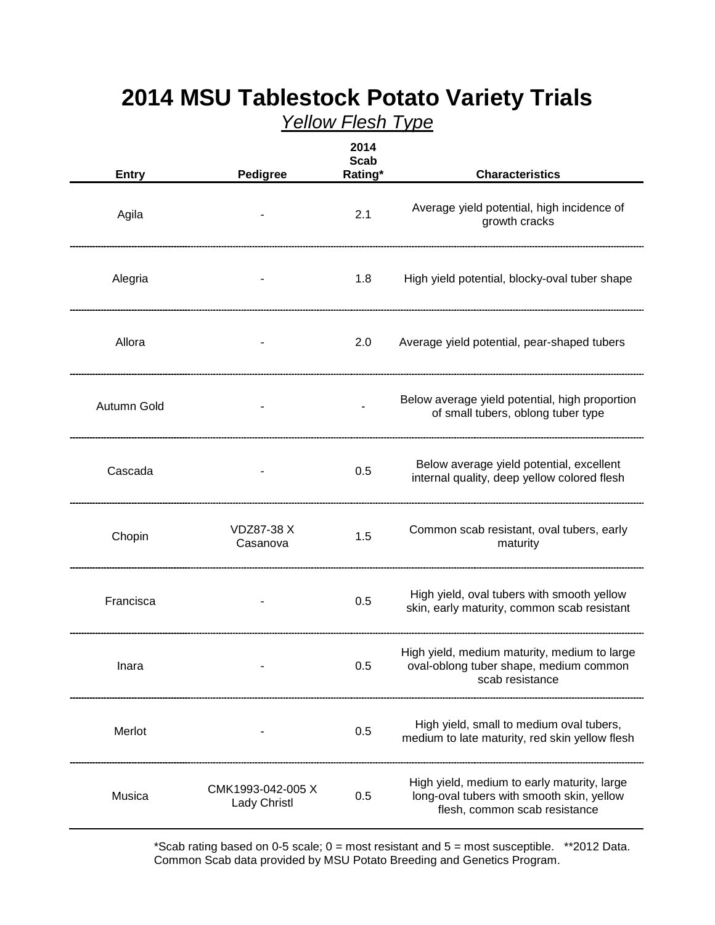| <b>Entry</b> | <b>Pedigree</b>                   | 2014<br><b>Scab</b><br>Rating* | <b>Characteristics</b>                                                                                                    |
|--------------|-----------------------------------|--------------------------------|---------------------------------------------------------------------------------------------------------------------------|
| Agila        |                                   | 2.1                            | Average yield potential, high incidence of<br>growth cracks                                                               |
| Alegria      |                                   | 1.8                            | High yield potential, blocky-oval tuber shape                                                                             |
| Allora       |                                   | 2.0                            | Average yield potential, pear-shaped tubers                                                                               |
| Autumn Gold  |                                   |                                | Below average yield potential, high proportion<br>of small tubers, oblong tuber type                                      |
| Cascada      |                                   | 0.5                            | Below average yield potential, excellent<br>internal quality, deep yellow colored flesh                                   |
| Chopin       | <b>VDZ87-38 X</b><br>Casanova     | 1.5                            | Common scab resistant, oval tubers, early<br>maturity                                                                     |
| Francisca    |                                   | 0.5                            | High yield, oval tubers with smooth yellow<br>skin, early maturity, common scab resistant                                 |
| Inara        |                                   | 0.5                            | High yield, medium maturity, medium to large<br>oval-oblong tuber shape, medium common<br>scab resistance                 |
| Merlot       |                                   | 0.5                            | High yield, small to medium oval tubers,<br>medium to late maturity, red skin yellow flesh                                |
| Musica       | CMK1993-042-005 X<br>Lady Christl | 0.5                            | High yield, medium to early maturity, large<br>long-oval tubers with smooth skin, yellow<br>flesh, common scab resistance |

# **2014 MSU Tablestock Potato Variety Trials** *Yellow Flesh Type*

\*Scab rating based on 0-5 scale;  $0 =$  most resistant and  $5 =$  most susceptible. \*\*2012 Data. Common Scab data provided by MSU Potato Breeding and Genetics Program.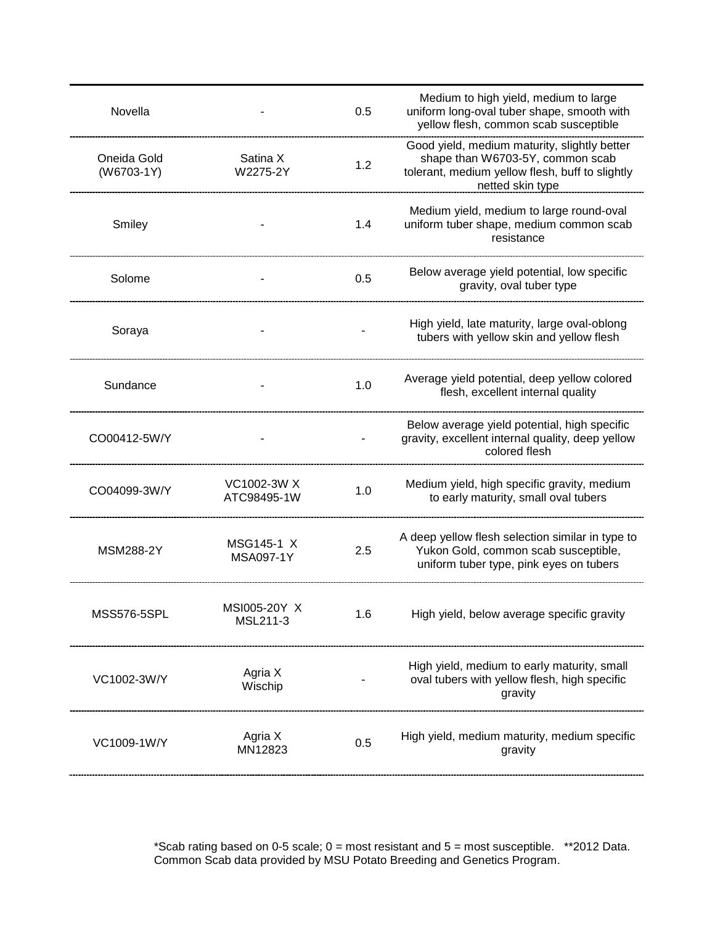| Novella                     |                            | 0.5 | Medium to high yield, medium to large<br>uniform long-oval tuber shape, smooth with<br>yellow flesh, common scab susceptible                            |
|-----------------------------|----------------------------|-----|---------------------------------------------------------------------------------------------------------------------------------------------------------|
| Oneida Gold<br>$(W6703-1Y)$ | Satina X<br>W2275-2Y       | 1.2 | Good yield, medium maturity, slightly better<br>shape than W6703-5Y, common scab<br>tolerant, medium yellow flesh, buff to slightly<br>netted skin type |
| Smiley                      |                            | 1.4 | Medium yield, medium to large round-oval<br>uniform tuber shape, medium common scab<br>resistance                                                       |
| Solome                      |                            | 0.5 | Below average yield potential, low specific<br>gravity, oval tuber type                                                                                 |
| Soraya                      |                            |     | High yield, late maturity, large oval-oblong<br>tubers with yellow skin and yellow flesh                                                                |
| Sundance                    |                            | 1.0 | Average yield potential, deep yellow colored<br>flesh, excellent internal quality                                                                       |
| CO00412-5W/Y                |                            |     | Below average yield potential, high specific<br>gravity, excellent internal quality, deep yellow<br>colored flesh                                       |
| CO04099-3W/Y                | VC1002-3W X<br>ATC98495-1W | 1.0 | Medium yield, high specific gravity, medium<br>to early maturity, small oval tubers                                                                     |
| <b>MSM288-2Y</b>            | MSG145-1 X<br>MSA097-1Y    | 2.5 | A deep yellow flesh selection similar in type to<br>Yukon Gold, common scab susceptible,<br>uniform tuber type, pink eyes on tubers                     |
| <b>MSS576-5SPL</b>          | MSI005-20Y X<br>MSL211-3   | 1.6 | High yield, below average specific gravity                                                                                                              |
| VC1002-3W/Y                 | Agria X<br>Wischip         |     | High yield, medium to early maturity, small<br>oval tubers with yellow flesh, high specific<br>gravity                                                  |
| VC1009-1W/Y                 | Agria X<br>MN12823         | 0.5 | High yield, medium maturity, medium specific<br>gravity                                                                                                 |

 \*Scab rating based on 0-5 scale; 0 = most resistant and 5 = most susceptible. \*\*2012 Data. Common Scab data provided by MSU Potato Breeding and Genetics Program.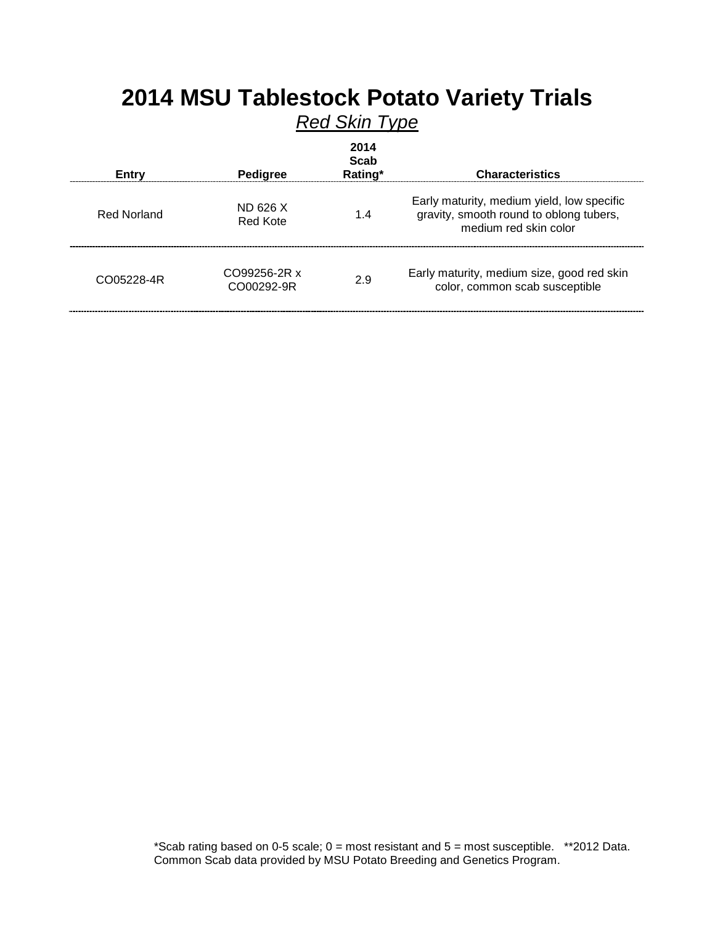| <b>2014 MSU TapleStock Potato Variety TrialS</b><br><b>Red Skin Type</b> |                            |                         |                                                                                                                |  |  |
|--------------------------------------------------------------------------|----------------------------|-------------------------|----------------------------------------------------------------------------------------------------------------|--|--|
| Entry                                                                    | <b>Pedigree</b>            | 2014<br>Scab<br>Rating* | <b>Characteristics</b>                                                                                         |  |  |
| <b>Red Norland</b>                                                       | ND 626 X<br>Red Kote       | 1.4                     | Early maturity, medium yield, low specific<br>gravity, smooth round to oblong tubers,<br>medium red skin color |  |  |
| CO05228-4R                                                               | CO99256-2R x<br>CO00292-9R | 2.9                     | Early maturity, medium size, good red skin<br>color, common scab susceptible                                   |  |  |

# **2014 MSU Tablestock Potato Variety Trials**